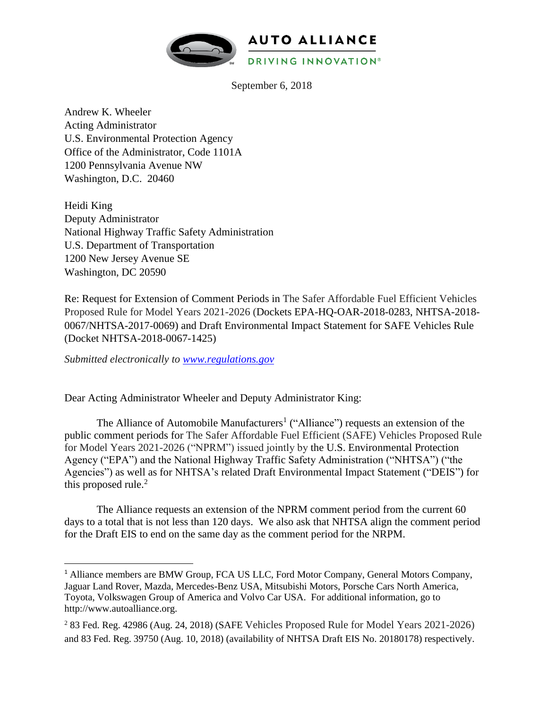

September 6, 2018

Andrew K. Wheeler Acting Administrator U.S. Environmental Protection Agency Office of the Administrator, Code 1101A 1200 Pennsylvania Avenue NW Washington, D.C. 20460

Heidi King Deputy Administrator National Highway Traffic Safety Administration U.S. Department of Transportation 1200 New Jersey Avenue SE Washington, DC 20590

Re: Request for Extension of Comment Periods in The Safer Affordable Fuel Efficient Vehicles Proposed Rule for Model Years 2021-2026 (Dockets EPA-HQ-OAR-2018-0283, NHTSA-2018- 0067/NHTSA-2017-0069) and [Draft Environmental Impact Statement for SAFE Vehicles Rule](https://www.regulations.gov/document?D=NHTSA-2017-0069-0178)  [\(Docket N](https://www.regulations.gov/document?D=NHTSA-2017-0069-0178)HTSA-2018-0067-1425)

*Submitted electronically to [www.regulations.gov](http://www.regulations.gov/)*

l

Dear Acting Administrator Wheeler and Deputy Administrator King:

The Alliance of Automobile Manufacturers<sup>1</sup> ("Alliance") requests an extension of the public comment periods for The Safer Affordable Fuel Efficient (SAFE) Vehicles Proposed Rule for Model Years 2021-2026 ("NPRM") issued jointly by the U.S. Environmental Protection Agency ("EPA") and the National Highway Traffic Safety Administration ("NHTSA") ("the Agencies") as well as for NHTSA's related Draft Environmental Impact Statement ("DEIS") for this proposed rule.<sup>2</sup>

The Alliance requests an extension of the NPRM comment period from the current 60 days to a total that is not less than 120 days. We also ask that NHTSA align the comment period for the Draft EIS to end on the same day as the comment period for the NRPM.

<sup>&</sup>lt;sup>1</sup> Alliance members are BMW Group, FCA US LLC, Ford Motor Company, General Motors Company, Jaguar Land Rover, Mazda, Mercedes-Benz USA, Mitsubishi Motors, Porsche Cars North America, Toyota, Volkswagen Group of America and Volvo Car USA. For additional information, go to [http://www.autoalliance.org.](http://www.autoalliance.org/)

<sup>2</sup> 83 Fed. Reg. 42986 (Aug. 24, 2018) (SAFE Vehicles Proposed Rule for Model Years 2021-2026) and 83 Fed. Reg. 39750 (Aug. 10, 2018) (availability of NHTSA Draft EIS No. 20180178) respectively.